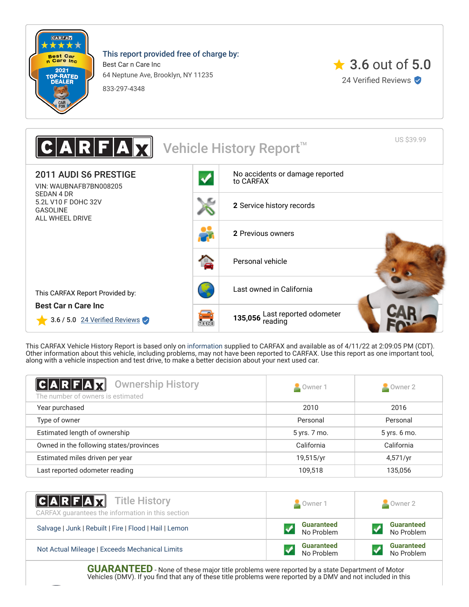

This report provided free of charge by:

Best Car n Care Inc 64 Neptune Ave, Brooklyn, NY 11235





US \$39.99  $\|\mathbf{x}\|$  Vehicle History Report 2011 AUDI S6 PRESTIGE [No accidents or damage reported](#page-1-0) to CARFAX VIN: WAUBNAFB7BN008205 SEDAN 4 DR 5.2L V10 F DOHC 32V **2** [Service history records](#page-1-1) GASOLINE ALL WHEEL DRIVE **2** [Previous owners](#page-0-0) [Personal vehicle](#page-0-0) [Last owned in California](#page-0-0) This CARFAX Report Provided by: **Best Car n Care Inc 135,056** [Last reported odometer](#page-1-1)  $3.6 / 5.0$  24 Verified Reviews **Tala** 

This CARFAX Vehicle History Report is based only on [information](http://www.carfax.com/company/vhr-data-sources) supplied to CARFAX and available as of 4/11/22 at 2:09:05 PM (CDT). Other information about this vehicle, including problems, may not have been reported to CARFAX. Use this report as one important tool, along with a vehicle inspection and test drive, to make a better decision about your next used car.

<span id="page-0-0"></span>

| $ C A R F A \nabla$<br><b>Ownership History</b><br>The number of owners is estimated | Owner 1      | $\triangle$ Owner 2 |
|--------------------------------------------------------------------------------------|--------------|---------------------|
| Year purchased                                                                       | 2010         | 2016                |
| Type of owner                                                                        | Personal     | Personal            |
| Estimated length of ownership                                                        | 5 yrs. 7 mo. | 5 yrs. 6 mo.        |
| Owned in the following states/provinces                                              | California   | California          |
| Estimated miles driven per year                                                      | 19,515/yr    | 4,571/yr            |
| Last reported odometer reading                                                       | 109,518      | 135,056             |

| <b>CARFAX</b> Title History<br>CARFAX guarantees the information in this section | Owner 1                         | Owner 2                         |
|----------------------------------------------------------------------------------|---------------------------------|---------------------------------|
| Salvage   Junk   Rebuilt   Fire   Flood   Hail   Lemon                           | <b>Guaranteed</b><br>No Problem | <b>Guaranteed</b><br>No Problem |
| Not Actual Mileage   Exceeds Mechanical Limits                                   | <b>Guaranteed</b><br>No Problem | <b>Guaranteed</b><br>No Problem |

**GUARANTEED** - None of these major title problems were reported by a state Department of Motor Vehicles (DMV). If you find that any of these title problems were reported by a DMV and not included in this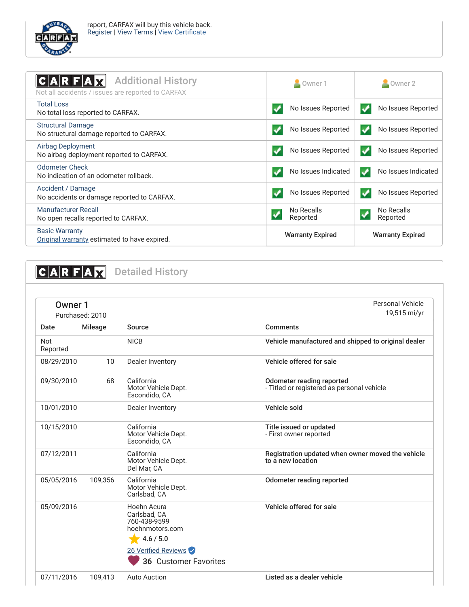

<span id="page-1-0"></span>

| <b>Additional History</b><br>C A R F A<br>Not all accidents / issues are reported to CARFAX | Owner 1                                            | $\blacksquare$ Owner 2                 |
|---------------------------------------------------------------------------------------------|----------------------------------------------------|----------------------------------------|
| <b>Total Loss</b><br>No total loss reported to CARFAX.                                      | No Issues Reported                                 | No Issues Reported<br>$\boldsymbol{J}$ |
| <b>Structural Damage</b><br>No structural damage reported to CARFAX.                        | No Issues Reported                                 | No Issues Reported<br>✓                |
| Airbag Deployment<br>No airbag deployment reported to CARFAX.                               | No Issues Reported                                 | No Issues Reported<br>$\bullet$        |
| <b>Odometer Check</b><br>No indication of an odometer rollback.                             | No Issues Indicated                                | No Issues Indicated<br>✔               |
| Accident / Damage<br>No accidents or damage reported to CARFAX.                             | No Issues Reported                                 | No Issues Reported<br>$\boldsymbol{v}$ |
| <b>Manufacturer Recall</b><br>No open recalls reported to CARFAX.                           | No Recalls<br>Reported                             | No Recalls<br>✔<br>Reported            |
| <b>Basic Warranty</b><br>Original warranty estimated to have expired.                       | <b>Warranty Expired</b><br><b>Warranty Expired</b> |                                        |

<span id="page-1-1"></span>**CARFAX** Detailed History

| Owner 1<br>Purchased: 2010 |         |                                                                                                                             | Personal Vehicle<br>19,515 mi/yr                                        |
|----------------------------|---------|-----------------------------------------------------------------------------------------------------------------------------|-------------------------------------------------------------------------|
| Date                       | Mileage | Source                                                                                                                      | <b>Comments</b>                                                         |
| Not<br>Reported            |         | <b>NICB</b>                                                                                                                 | Vehicle manufactured and shipped to original dealer                     |
| 08/29/2010                 | 10      | Dealer Inventory                                                                                                            | Vehicle offered for sale                                                |
| 09/30/2010                 | 68      | California<br>Motor Vehicle Dept.<br>Escondido, CA                                                                          | Odometer reading reported<br>- Titled or registered as personal vehicle |
| 10/01/2010                 |         | Dealer Inventory                                                                                                            | Vehicle sold                                                            |
| 10/15/2010                 |         | California<br>Motor Vehicle Dept.<br>Escondido, CA                                                                          | Title issued or updated<br>- First owner reported                       |
| 07/12/2011                 |         | California<br>Motor Vehicle Dept.<br>Del Mar, CA                                                                            | Registration updated when owner moved the vehicle<br>to a new location  |
| 05/05/2016                 | 109,356 | California<br>Motor Vehicle Dept.<br>Carlsbad, CA                                                                           | Odometer reading reported                                               |
| 05/09/2016                 |         | Hoehn Acura<br>Carlsbad, CA<br>760-438-9599<br>hoehnmotors.com<br>4.6 / 5.0<br>26 Verified Reviews<br>36 Customer Favorites | Vehicle offered for sale                                                |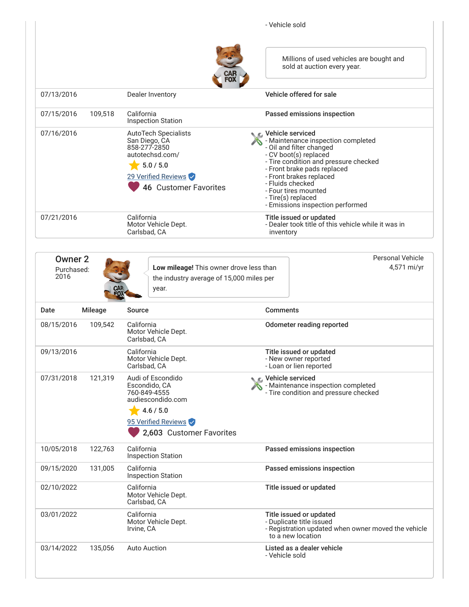|            |         |                                                                                                                                                     | - Vehicle sold                                                                                                                                                                                                                                                                                                         |  |
|------------|---------|-----------------------------------------------------------------------------------------------------------------------------------------------------|------------------------------------------------------------------------------------------------------------------------------------------------------------------------------------------------------------------------------------------------------------------------------------------------------------------------|--|
|            |         | CAF<br>FO)                                                                                                                                          | Millions of used vehicles are bought and<br>sold at auction every year.                                                                                                                                                                                                                                                |  |
| 07/13/2016 |         | Dealer Inventory                                                                                                                                    | Vehicle offered for sale                                                                                                                                                                                                                                                                                               |  |
| 07/15/2016 | 109,518 | California<br><b>Inspection Station</b>                                                                                                             | Passed emissions inspection                                                                                                                                                                                                                                                                                            |  |
| 07/16/2016 |         | <b>AutoTech Specialists</b><br>San Diego, CA<br>858-277-2850<br>autotechsd.com/<br>5.0 / 5.0<br>29 Verified Reviews<br><b>46 Customer Favorites</b> | C Vehicle serviced<br>- Maintenance inspection completed<br>- Oil and filter changed<br>- CV boot(s) replaced<br>- Tire condition and pressure checked<br>- Front brake pads replaced<br>- Front brakes replaced<br>- Fluids checked<br>- Four tires mounted<br>- Tire(s) replaced<br>- Emissions inspection performed |  |
| 07/21/2016 |         | California<br>Motor Vehicle Dept.<br>Carlsbad, CA                                                                                                   | Title issued or updated<br>- Dealer took title of this vehicle while it was in<br>inventory                                                                                                                                                                                                                            |  |

| <b>Owner 2</b><br>Purchased:<br>2016<br>CAR<br>FOX | Low mileage! This owner drove less than<br>the industry average of 15,000 miles per<br>year.                                            | <b>Personal Vehicle</b><br>4,571 mi/yr                                                                                          |
|----------------------------------------------------|-----------------------------------------------------------------------------------------------------------------------------------------|---------------------------------------------------------------------------------------------------------------------------------|
| Date<br><b>Mileage</b>                             | Source                                                                                                                                  | <b>Comments</b>                                                                                                                 |
| 08/15/2016<br>109,542                              | California<br>Motor Vehicle Dept.<br>Carlsbad, CA                                                                                       | Odometer reading reported                                                                                                       |
| 09/13/2016                                         | California<br>Motor Vehicle Dept.<br>Carlsbad, CA                                                                                       | Title issued or updated<br>- New owner reported<br>- Loan or lien reported                                                      |
| 07/31/2018<br>121,319                              | Audi of Escondido<br>Escondido, CA<br>760-849-4555<br>audiescondido.com<br>4.6 / 5.0<br>95 Verified Reviews<br>2,603 Customer Favorites | Vehicle serviced<br>- Maintenance inspection completed<br>- Tire condition and pressure checked                                 |
| 10/05/2018<br>122,763                              | California<br><b>Inspection Station</b>                                                                                                 | Passed emissions inspection                                                                                                     |
| 09/15/2020<br>131,005                              | California<br><b>Inspection Station</b>                                                                                                 | Passed emissions inspection                                                                                                     |
| 02/10/2022                                         | California<br>Motor Vehicle Dept.<br>Carlsbad, CA                                                                                       | Title issued or updated                                                                                                         |
| 03/01/2022                                         | California<br>Motor Vehicle Dept.<br>Irvine, CA                                                                                         | Title issued or updated<br>- Duplicate title issued<br>- Registration updated when owner moved the vehicle<br>to a new location |
| 03/14/2022<br>135,056                              | <b>Auto Auction</b>                                                                                                                     | Listed as a dealer vehicle<br>- Vehicle sold                                                                                    |